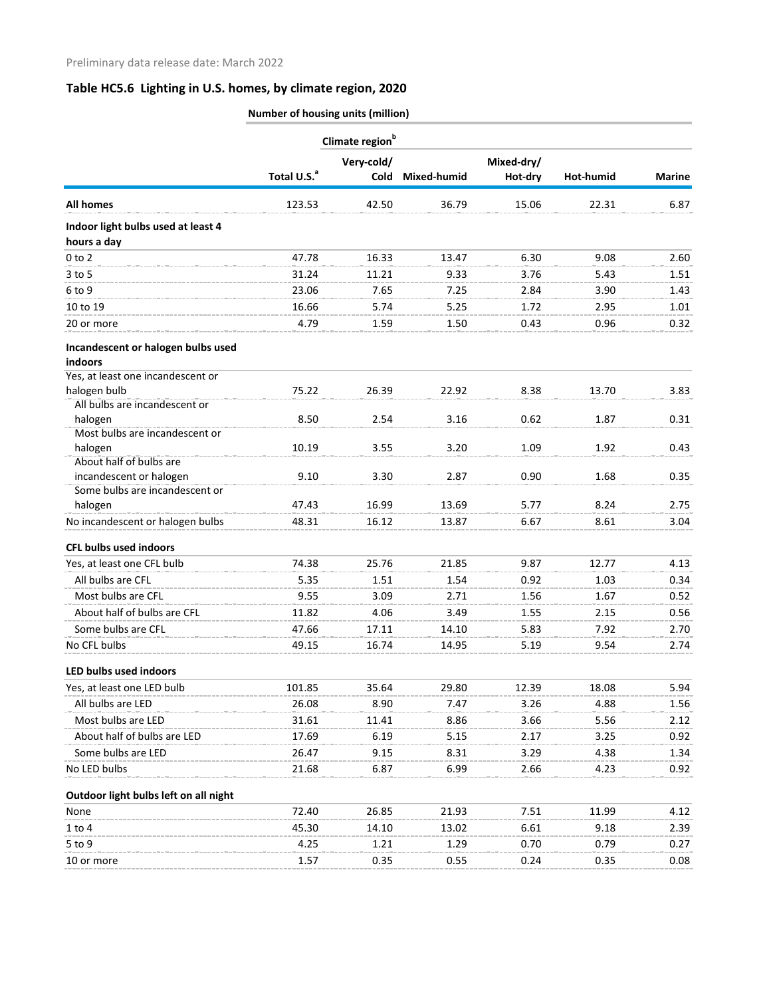## **Table HC5.6 Lighting in U.S. homes, by climate region, 2020**

|                                              | Number of housing units (million) |            |             |            |           |               |
|----------------------------------------------|-----------------------------------|------------|-------------|------------|-----------|---------------|
|                                              | Climate region <sup>b</sup>       |            |             |            |           |               |
|                                              |                                   | Very-cold/ |             | Mixed-dry/ |           |               |
|                                              | Total U.S. <sup>a</sup>           | Cold       | Mixed-humid | Hot-dry    | Hot-humid | <b>Marine</b> |
| <b>All homes</b>                             | 123.53                            | 42.50      | 36.79       | 15.06      | 22.31     | 6.87          |
| Indoor light bulbs used at least 4           |                                   |            |             |            |           |               |
| hours a day                                  |                                   |            |             |            |           |               |
| $0$ to $2$                                   | 47.78                             | 16.33      | 13.47       | 6.30       | 9.08      | 2.60          |
| $3$ to $5$                                   | 31.24                             | 11.21      | 9.33        | 3.76       | 5.43      | 1.51          |
| 6 to 9                                       | 23.06                             | 7.65       | 7.25        | 2.84       | 3.90      | 1.43          |
| 10 to 19                                     | 16.66                             | 5.74       | 5.25        | 1.72       | 2.95      | 1.01          |
| 20 or more                                   | 4.79                              | 1.59       | 1.50        | 0.43       | 0.96      | 0.32          |
| Incandescent or halogen bulbs used           |                                   |            |             |            |           |               |
| indoors<br>Yes, at least one incandescent or |                                   |            |             |            |           |               |
| halogen bulb                                 | 75.22                             | 26.39      | 22.92       | 8.38       | 13.70     | 3.83          |
| All bulbs are incandescent or                |                                   |            |             |            |           |               |
| halogen                                      | 8.50                              | 2.54       | 3.16        | 0.62       | 1.87      | 0.31          |
| Most bulbs are incandescent or               |                                   |            |             |            |           |               |
| halogen<br>About half of bulbs are           | 10.19                             | 3.55       | 3.20        | 1.09       | 1.92      | 0.43          |
| incandescent or halogen                      | 9.10                              | 3.30       | 2.87        | 0.90       | 1.68      | 0.35          |
| Some bulbs are incandescent or               |                                   |            |             |            |           |               |
| halogen                                      | 47.43                             | 16.99      | 13.69       | 5.77       | 8.24      | 2.75          |
| No incandescent or halogen bulbs             | 48.31                             | 16.12      | 13.87       | 6.67       | 8.61      | 3.04          |
| <b>CFL bulbs used indoors</b>                |                                   |            |             |            |           |               |
| Yes, at least one CFL bulb                   | 74.38                             | 25.76      | 21.85       | 9.87       | 12.77     | 4.13          |
| All bulbs are CFL                            | 5.35                              | 1.51       | 1.54        | 0.92       | 1.03      | 0.34          |
| Most bulbs are CFL                           | 9.55                              | 3.09       | 2.71        | 1.56       | 1.67      | 0.52          |
| About half of bulbs are CFL                  | 11.82                             | 4.06       | 3.49        | 1.55       | 2.15      | 0.56          |
| Some bulbs are CFL                           | 47.66                             | 17.11      | 14.10       | 5.83       | 7.92      | 2.70          |
| No CFL bulbs                                 | 49.15                             | 16.74      | 14.95       | 5.19       | 9.54      | 2.74          |
|                                              |                                   |            |             |            |           |               |
| LED bulbs used indoors                       |                                   |            |             |            |           |               |
| Yes, at least one LED bulb                   | 101.85                            | 35.64      | 29.80       | 12.39      | 18.08     | 5.94          |
| All bulbs are LED                            | 26.08                             | 8.90       | 7.47        | 3.26       | 4.88      | 1.56          |
| Most bulbs are LED                           | 31.61                             | 11.41      | 8.86        | 3.66       | 5.56      | 2.12          |
| About half of bulbs are LED                  | 17.69                             | 6.19       | 5.15        | 2.17       | 3.25      | 0.92          |
| Some bulbs are LED                           | 26.47                             | 9.15       | 8.31        | 3.29       | 4.38      | 1.34          |
| No LED bulbs                                 | 21.68                             | 6.87       | 6.99        | 2.66       | 4.23      | 0.92          |
| Outdoor light bulbs left on all night        |                                   |            |             |            |           |               |
| None                                         | 72.40                             | 26.85      | 21.93       | 7.51       | 11.99     | 4.12          |
| $1$ to $4$                                   | 45.30                             | 14.10      | 13.02       | 6.61       | 9.18      | 2.39          |
| 5 to 9                                       | 4.25                              | 1.21       | 1.29        | 0.70       | 0.79      | 0.27          |
| 10 or more                                   | 1.57                              | 0.35       | 0.55        | 0.24       | 0.35      | 0.08          |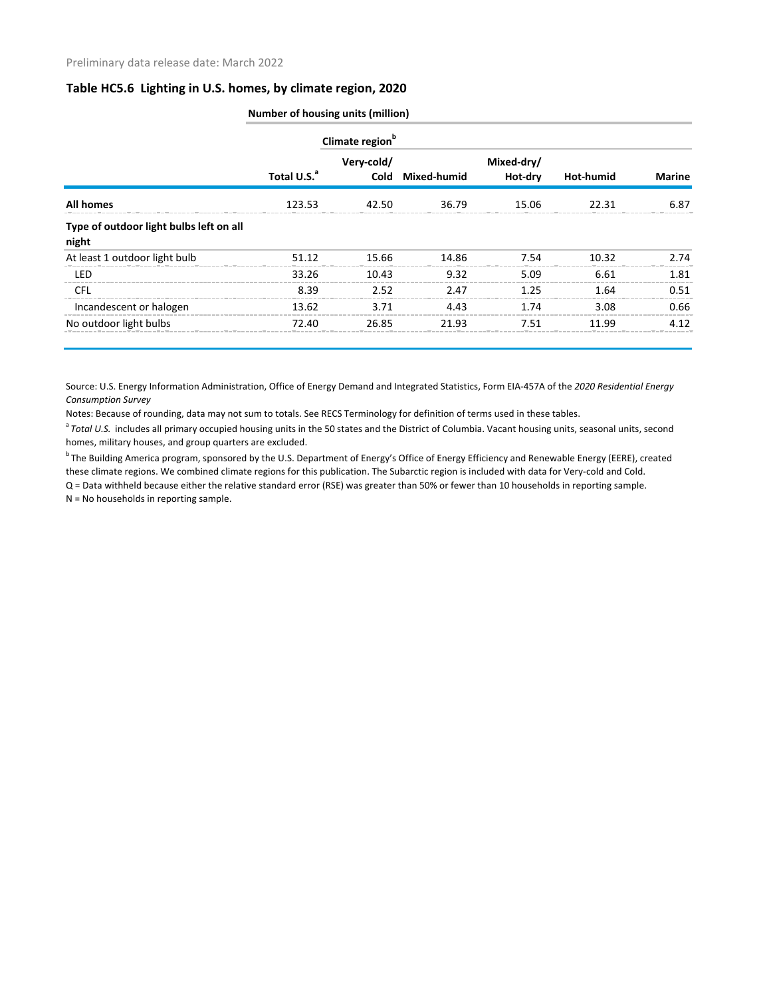## **Table HC5.6 Lighting in U.S. homes, by climate region, 2020**

|                                                  | <b>Number of housing units (million)</b> |                             |                  |                       |           |               |  |
|--------------------------------------------------|------------------------------------------|-----------------------------|------------------|-----------------------|-----------|---------------|--|
|                                                  |                                          | Climate region <sup>b</sup> |                  |                       |           |               |  |
|                                                  | Total U.S. <sup>a</sup>                  | Very-cold/                  | Cold Mixed-humid | Mixed-dry/<br>Hot-dry | Hot-humid | <b>Marine</b> |  |
| <b>All homes</b>                                 | 123.53                                   | 42.50                       | 36.79            | 15.06                 | 22.31     | 6.87          |  |
| Type of outdoor light bulbs left on all<br>night |                                          |                             |                  |                       |           |               |  |
| At least 1 outdoor light bulb                    | 51.12                                    | 15.66                       | 14.86            | 7.54                  | 10.32     | 2.74          |  |
| LED                                              | 33.26                                    | 10.43                       | 9.32             | 5.09                  | 6.61      | 1.81          |  |
| <b>CFL</b>                                       | 8.39                                     | 2.52                        | 2.47             | 1.25                  | 1.64      | 0.51          |  |
| Incandescent or halogen                          | 13.62                                    | 3.71                        | 4.43             | 1.74                  | 3.08      | 0.66          |  |
| No outdoor light bulbs                           | 72.40                                    | 26.85                       | 21.93            | 7.51                  | 11 99     | 4.12          |  |

Source: U.S. Energy Information Administration, Office of Energy Demand and Integrated Statistics, Form EIA-457A of the *2020 Residential Energy Consumption Survey*

Notes: Because of rounding, data may not sum to totals. See RECS Terminology for definition of terms used in these tables.

<sup>a</sup> Total U.S. includes all primary occupied housing units in the 50 states and the District of Columbia. Vacant housing units, seasonal units, second homes, military houses, and group quarters are excluded.

<sup>b</sup> The Building America program, sponsored by the U.S. Department of Energy's Office of Energy Efficiency and Renewable Energy (EERE), created these climate regions. We combined climate regions for this publication. The Subarctic region is included with data for Very-cold and Cold.

Q = Data withheld because either the relative standard error (RSE) was greater than 50% or fewer than 10 households in reporting sample. N = No households in reporting sample.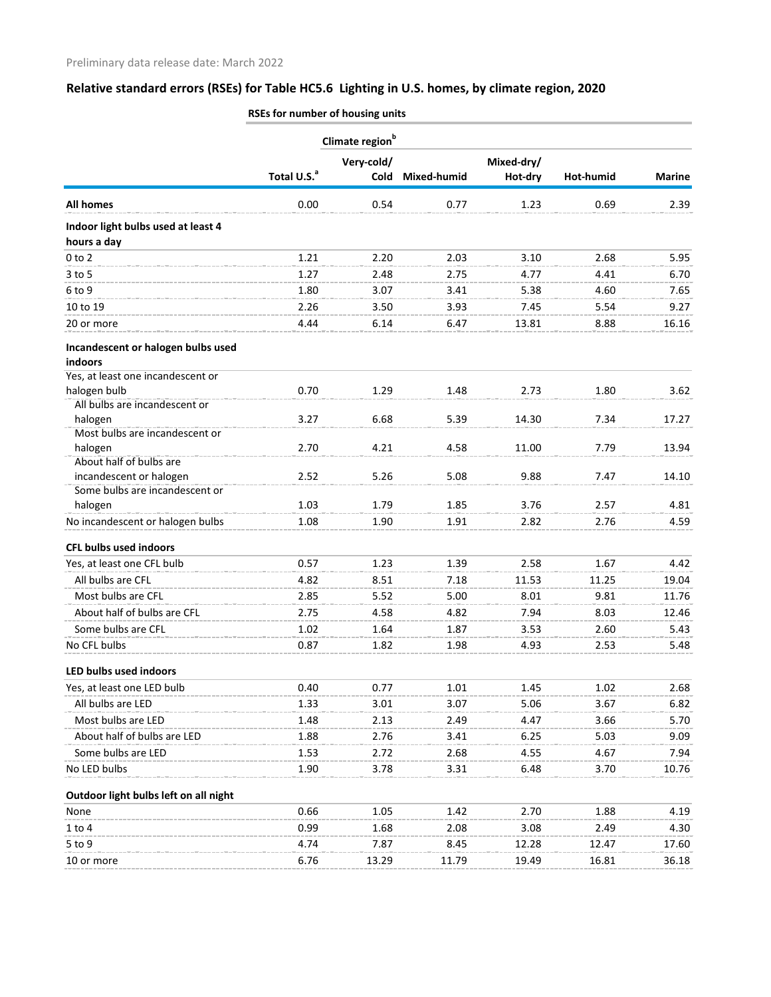## **Relative standard errors (RSEs) for Table HC5.6 Lighting in U.S. homes, by climate region, 2020**

|                                                   | Climate region <sup>b</sup> |            |             |            |           |               |
|---------------------------------------------------|-----------------------------|------------|-------------|------------|-----------|---------------|
|                                                   |                             | Very-cold/ |             | Mixed-dry/ |           |               |
|                                                   | Total U.S. <sup>a</sup>     | Cold       | Mixed-humid | Hot-dry    | Hot-humid | <b>Marine</b> |
| <b>All homes</b>                                  | 0.00                        | 0.54       | 0.77        | 1.23       | 0.69      | 2.39          |
| Indoor light bulbs used at least 4<br>hours a day |                             |            |             |            |           |               |
| $0$ to $2$                                        | 1.21                        | 2.20       | 2.03        | 3.10       | 2.68      | 5.95          |
| 3 to 5                                            | 1.27                        | 2.48       | 2.75        | 4.77       | 4.41      | 6.70          |
| 6 to 9                                            | 1.80                        | 3.07       | 3.41        | 5.38       | 4.60      | 7.65          |
| 10 to 19                                          | 2.26                        | 3.50       | 3.93        | 7.45       | 5.54      | 9.27          |
| 20 or more                                        | 4.44                        | 6.14       | 6.47        | 13.81      | 8.88      | 16.16         |
| Incandescent or halogen bulbs used<br>indoors     |                             |            |             |            |           |               |
| Yes, at least one incandescent or                 |                             |            |             |            |           |               |
| halogen bulb                                      | 0.70                        | 1.29       | 1.48        | 2.73       | 1.80      | 3.62          |
| All bulbs are incandescent or                     |                             |            |             |            |           |               |
| halogen                                           | 3.27                        | 6.68       | 5.39        | 14.30      | 7.34      | 17.27         |
| Most bulbs are incandescent or                    |                             |            |             |            |           |               |
| halogen<br>About half of bulbs are                | 2.70                        | 4.21       | 4.58        | 11.00      | 7.79      | 13.94         |
| incandescent or halogen                           | 2.52                        | 5.26       | 5.08        | 9.88       | 7.47      | 14.10         |
| Some bulbs are incandescent or                    |                             |            |             |            |           |               |
| halogen                                           | 1.03                        | 1.79       | 1.85        | 3.76       | 2.57      | 4.81          |
| No incandescent or halogen bulbs                  | 1.08                        | 1.90       | 1.91        | 2.82       | 2.76      | 4.59          |
| <b>CFL bulbs used indoors</b>                     |                             |            |             |            |           |               |
| Yes, at least one CFL bulb                        | 0.57                        | 1.23       | 1.39        | 2.58       | 1.67      | 4.42          |
| All bulbs are CFL                                 | 4.82                        | 8.51       | 7.18        | 11.53      | 11.25     | 19.04         |
| Most bulbs are CFL                                | 2.85                        | 5.52       | 5.00        | 8.01       | 9.81      | 11.76         |
| About half of bulbs are CFL                       | 2.75                        | 4.58       | 4.82        | 7.94       | 8.03      | 12.46         |
| Some bulbs are CFL                                | 1.02                        | 1.64       | 1.87        | 3.53       | 2.60      | 5.43          |
| No CFL bulbs                                      | 0.87                        | 1.82       | 1.98        | 4.93       | 2.53      | 5.48          |
| LED bulbs used indoors                            |                             |            |             |            |           |               |
| Yes, at least one LED bulb                        | 0.40                        | 0.77       | 1.01        | 1.45       | 1.02      | 2.68          |
| All bulbs are LED                                 | 1.33                        | 3.01       | 3.07        | 5.06       | 3.67      | 6.82          |
| Most bulbs are LED                                | 1.48                        | 2.13       | 2.49        | 4.47       | 3.66      | 5.70          |
| About half of bulbs are LED                       | 1.88                        | 2.76       | 3.41        | 6.25       | 5.03      | 9.09          |
| Some bulbs are LED                                | 1.53                        | 2.72       | 2.68        | 4.55       | 4.67      | 7.94          |
| No LED bulbs                                      | 1.90                        | 3.78       | 3.31        | 6.48       | 3.70      | 10.76         |
| Outdoor light bulbs left on all night             |                             |            |             |            |           |               |
| None                                              | 0.66                        | 1.05       | 1.42        | 2.70       | 1.88      | 4.19          |
| 1 to 4                                            | 0.99                        | 1.68       | 2.08        | 3.08       | 2.49      | 4.30          |
| 5 to 9                                            | 4.74                        | 7.87       | 8.45        | 12.28      | 12.47     | 17.60         |
| 10 or more                                        | 6.76                        | 13.29      | 11.79       | 19.49      | 16.81     | 36.18         |

**RSEs for number of housing units**